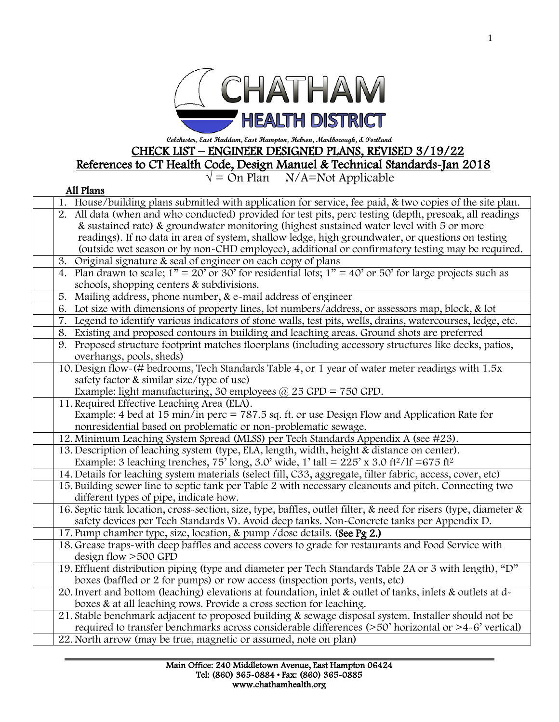

## **Colchester, East Haddam, East Hampton, Hebron, Marlborough, & Portland** CHECK LIST – ENGINEER DESIGNED PLANS, REVISED 3/19/22 References to CT Health Code, Design Manuel & Technical Standards-Jan 2018

 $\sqrt{}$  = On Plan  $N/A$ =Not Applicable

## All Plans

| 1. House/building plans submitted with application for service, fee paid, & two copies of the site plan.            |
|---------------------------------------------------------------------------------------------------------------------|
| 2. All data (when and who conducted) provided for test pits, perc testing (depth, presoak, all readings             |
| & sustained rate) & groundwater monitoring (highest sustained water level with 5 or more                            |
| readings). If no data in area of system, shallow ledge, high groundwater, or questions on testing                   |
| (outside wet season or by non-CHD employee), additional or confirmatory testing may be required.                    |
| Original signature & seal of engineer on each copy of plans<br>3.                                                   |
| 4. Plan drawn to scale; $1" = 20'$ or 30' for residential lots; $1" = 40'$ or 50' for large projects such as        |
| schools, shopping centers & subdivisions.                                                                           |
| Mailing address, phone number, & e-mail address of engineer<br>5.                                                   |
| Lot size with dimensions of property lines, lot numbers/address, or assessors map, block, & lot<br>6.               |
| Legend to identify various indicators of stone walls, test pits, wells, drains, watercourses, ledge, etc.<br>7.     |
| Existing and proposed contours in building and leaching areas. Ground shots are preferred<br>8.                     |
| 9. Proposed structure footprint matches floorplans (including accessory structures like decks, patios,              |
| overhangs, pools, sheds)                                                                                            |
| 10. Design flow-(# bedrooms, Tech Standards Table 4, or 1 year of water meter readings with 1.5x                    |
| safety factor & similar size/type of use)                                                                           |
| Example: light manufacturing, 30 employees $@$ 25 GPD = 750 GPD.                                                    |
| 11. Required Effective Leaching Area (ELA).                                                                         |
| Example: 4 bed at 15 min/in perc = 787.5 sq. ft. or use Design Flow and Application Rate for                        |
| nonresidential based on problematic or non-problematic sewage.                                                      |
| 12. Minimum Leaching System Spread (MLSS) per Tech Standards Appendix A (see #23).                                  |
| 13. Description of leaching system (type, ELA, length, width, height & distance on center).                         |
| Example: 3 leaching trenches, 75' long, 3.0' wide, 1' tall = $225'$ x 3.0 ft <sup>2</sup> /lf = 675 ft <sup>2</sup> |
| 14. Details for leaching system materials (select fill, C33, aggregate, filter fabric, access, cover, etc)          |
| 15. Building sewer line to septic tank per Table 2 with necessary cleanouts and pitch. Connecting two               |
| different types of pipe, indicate how.                                                                              |
| 16. Septic tank location, cross-section, size, type, baffles, outlet filter, & need for risers (type, diameter &    |
| safety devices per Tech Standards V). Avoid deep tanks. Non-Concrete tanks per Appendix D.                          |
| 17. Pump chamber type, size, location, & pump /dose details. (See Pg 2.)                                            |
| 18. Grease traps-with deep baffles and access covers to grade for restaurants and Food Service with                 |
| design flow >500 GPD                                                                                                |
| 19. Effluent distribution piping (type and diameter per Tech Standards Table 2A or 3 with length), "D"              |
| boxes (baffled or 2 for pumps) or row access (inspection ports, vents, etc)                                         |
| 20. Invert and bottom (leaching) elevations at foundation, inlet & outlet of tanks, inlets & outlets at d-          |
| boxes & at all leaching rows. Provide a cross section for leaching.                                                 |
| 21. Stable benchmark adjacent to proposed building & sewage disposal system. Installer should not be                |
| required to transfer benchmarks across considerable differences ( $>50'$ horizontal or $>4-6'$ vertical)            |
| 22. North arrow (may be true, magnetic or assumed, note on plan)                                                    |